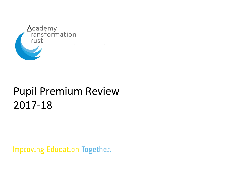

# Pupil Premium Review 2017-18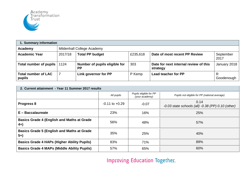

| 1. Summary information               |         |                                            |          |                                                   |                   |  |
|--------------------------------------|---------|--------------------------------------------|----------|---------------------------------------------------|-------------------|--|
| Academy                              |         | Mildenhall College Academy                 |          |                                                   |                   |  |
| <b>Academic Year</b>                 | 2017/18 | <b>Total PP budget</b>                     | £235,618 | Date of most recent PP Review                     | September<br>2017 |  |
| Total number of pupils               | 1124    | Number of pupils eligible for<br><b>PP</b> | 303      | Date for next internal review of this<br>strategy | January 2018      |  |
| <b>Total number of LAC</b><br>pupils |         | Link governor for PP                       | P Kemp   | <b>Lead teacher for PP</b>                        | Goodenough        |  |

| 2. Current attainment - Year 11 Summer 2017 results         |                    |                                          |                                                                 |  |  |
|-------------------------------------------------------------|--------------------|------------------------------------------|-----------------------------------------------------------------|--|--|
|                                                             | All pupils         | Pupils eligible for PP<br>(your academy) | Pupils not eligible for PP (national average)                   |  |  |
| Progress 8                                                  | $-0.11$ to $+0.29$ | $-0.07$                                  | 0.14<br>$-0.03$ state schools (all) $-0.38$ (PP) $0.10$ (other) |  |  |
| $E -$ Baccalaureate                                         | 23%                | 16%                                      | 25%                                                             |  |  |
| <b>Basics Grade 4 (English and Maths at Grade)</b><br>$4+)$ | 56%                | 48%                                      | 57%                                                             |  |  |
| <b>Basics Grade 5 (English and Maths at Grade</b><br>$5+$   | 35%                | 25%                                      | 40%                                                             |  |  |
| <b>Basics Grade 4 HAPs (Higher Ability Pupils)</b>          | 83%                | 71%                                      | 89%                                                             |  |  |
| <b>Basics Grade 4 MAPs (Middle Ability Pupils)</b>          | 57%                | 65%                                      | 60%                                                             |  |  |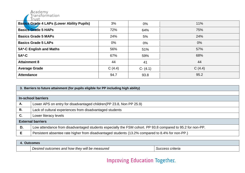

| <b>Basics Grade 4 LAPs (Lower Ability Pupils)</b> | 3%     | $0\%$       | 11%    |
|---------------------------------------------------|--------|-------------|--------|
| <b>Basics Grade 5 HAPs</b>                        | 72%    | 64%         | 75%    |
| <b>Basics Grade 5 MAPs</b>                        | 24%    | 5%          | 24%    |
| <b>Basics Grade 5 LAPs</b>                        | $0\%$  | $0\%$       | 0%     |
| 5A*-C English and Maths                           | 56%    | 51%         | 57%    |
| $5A*-C$                                           | 67%    | 59%         | 68%    |
| <b>Attainment 8</b>                               | 44     | 41          | 44     |
| <b>Average Grade</b>                              | C(4.4) | $C - (4.1)$ | C(4.4) |
| <b>Attendance</b>                                 | 94.7   | 93.8        | 95.2   |

|    | 3. Barriers to future attainment (for pupils eligible for PP including high ability)                       |  |  |  |
|----|------------------------------------------------------------------------------------------------------------|--|--|--|
|    |                                                                                                            |  |  |  |
|    | <b>In-school barriers</b>                                                                                  |  |  |  |
| Α. | Lower APS on entry for disadvantaged children (PP 23.8, Non PP 25.9)                                       |  |  |  |
| В. | Lack of cultural experiences from disadvantaged students                                                   |  |  |  |
| C. | Lower literacy levels                                                                                      |  |  |  |
|    | <b>External barriers</b>                                                                                   |  |  |  |
| D. | Low attendance from disadvantaged students especially the FSM cohort. PP 93.8 compared to 95.2 for non-PP. |  |  |  |
| Е  | Persistent absentee rate higher from disadvantaged students (13.2% compared to 8.4% for non-PP.)           |  |  |  |

| Outcomes                                       |                  |
|------------------------------------------------|------------------|
| Desired outcomes and how they will be measured | Success criteria |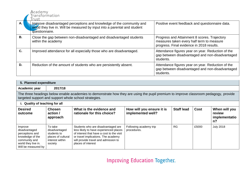|           | Academy<br>Transformation<br>Trust                                                                                                                                  |                                                                                                                                        |
|-----------|---------------------------------------------------------------------------------------------------------------------------------------------------------------------|----------------------------------------------------------------------------------------------------------------------------------------|
| A.        | Improve disadvantaged perceptions and knowledge of the community and<br>world they live in. Will be measured by input into a parental and student<br>questionnaire. | Positive event feedback and questionnaire data.                                                                                        |
| <b>B.</b> | Close the gap between non-disadvantaged and disadvantaged students<br>within the academy                                                                            | Progress and Attainment 8 scores. Trajectory<br>measures taken every half term to measure<br>progress. Final evidence in 2018 results. |
| C.        | Improved attendance for all especially those who are disadvantaged.                                                                                                 | Attendance figures year on year. Reduction of the<br>gap between disadvantaged and non-disadvantaged<br>students.                      |
| D.        | Reduction of the amount of students who are persistently absent.                                                                                                    | Attendance figures year on year. Reduction of the<br>gap between disadvantaged and non-disadvantaged<br>students.                      |

| 5. Planned expenditure                                                                                                         |                                                                                                                                                                                               |                                                                                                                                                                                                                                |                                                |                   |             |                                               |
|--------------------------------------------------------------------------------------------------------------------------------|-----------------------------------------------------------------------------------------------------------------------------------------------------------------------------------------------|--------------------------------------------------------------------------------------------------------------------------------------------------------------------------------------------------------------------------------|------------------------------------------------|-------------------|-------------|-----------------------------------------------|
| Academic year                                                                                                                  | 2017/18                                                                                                                                                                                       |                                                                                                                                                                                                                                |                                                |                   |             |                                               |
|                                                                                                                                | The three headings below enable academies to demonstrate how they are using the pupil premium to improve classroom pedagogy, provide<br>targeted support and support whole school strategies. |                                                                                                                                                                                                                                |                                                |                   |             |                                               |
| i. Quality of teaching for all                                                                                                 |                                                                                                                                                                                               |                                                                                                                                                                                                                                |                                                |                   |             |                                               |
| <b>Desired</b><br>outcome                                                                                                      | <b>Chosen</b><br>action /<br>approach                                                                                                                                                         | What is the evidence and<br>rationale for this choice?                                                                                                                                                                         | How will you ensure it is<br>implemented well? | <b>Staff lead</b> | <b>Cost</b> | When will you<br>review<br>implementatio<br>n |
| Improve<br>disadvantaged<br>perceptions and<br>knowledge of the<br>community and<br>world they live in.<br>Will be measured by | To take<br>disadvantaged<br>students to<br>places of cultural<br>interest within<br>society                                                                                                   | Students who are disadvantaged are<br>less likely to have experienced places<br>of interest that have a cost to the visit<br>or travel implications. The academy<br>will provide travel and admission to<br>places of interest | Following academy trip<br>procedures.          | <b>RG</b>         | £5000       | <b>July 2018</b>                              |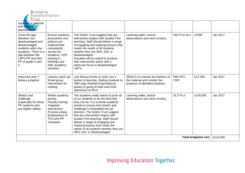

| input into a parental<br>and student<br>questionnaire.                                                                                                                               |                                                                                                                                                                            |                                                                                                                                                                                                                                                                                                                                                                                                                                                              |                                                                                                      |                       |                            |          |
|--------------------------------------------------------------------------------------------------------------------------------------------------------------------------------------|----------------------------------------------------------------------------------------------------------------------------------------------------------------------------|--------------------------------------------------------------------------------------------------------------------------------------------------------------------------------------------------------------------------------------------------------------------------------------------------------------------------------------------------------------------------------------------------------------------------------------------------------------|------------------------------------------------------------------------------------------------------|-----------------------|----------------------------|----------|
| Close the gap<br>between non-<br>disadvantaged and<br>disadvantaged<br>students within the<br>academy. There is a<br>gap between the<br>LAP's PP and Non-<br>PP at grade 4 and<br>5. | Ensure academy<br>procedures and<br>policies are<br>implemented<br>consistently<br>across the<br>academy. CPD<br>training in<br>briefings and<br>after academy<br>sessions | The Sutton Trust suggest that any<br>intervention begins with Quality First<br>teaching. Staff should deliver a range<br>of engaging and inspiring lessons that<br>meets the needs of all students<br>whether they are SEN, EAL or<br>disadvantaged.<br>Faculties will be asked to produce<br>their intervention plans with a<br>particular focus to disadvantaged<br>LAP's.                                                                                 | Learning walks, lesson<br>observations and work scrutiny.                                            | HN/FLs/HLs            | £1000                      | Jan 2017 |
| Improved year 7<br>literacy progress                                                                                                                                                 | Literacy catch up/<br>Small group<br>intervention for<br>reading.                                                                                                          | Low literacy levels on entry are a<br>barrier to learning. Getting students to<br><b>ARE (Age Related Expectations)</b><br>quickly is going to help raise their<br>attainment at MCA.                                                                                                                                                                                                                                                                        | SENCO to oversee the delivery of<br>the material and monitor the<br>progress of identified students. | RW/KFI/<br><b>CKR</b> | £17,000                    | Jan 2017 |
| Stretch and<br>challenge<br>(especially for those<br>PP students who<br>are Higher ability)                                                                                          | Whole academy<br>priority.<br>Faculty training.<br>Targeted<br>intervention.<br>Process praise.<br>Employment of<br>TA's and PP<br>champion.                               | The academy really wants to push all<br>of our students to be the best that<br>they can be. It is a whole academy<br>priority to ensure that stretch and<br>challenge is embedded into all<br>learners. The Sutton Trust suggest<br>that any intervention begins with<br>Quality First teaching. Staff should<br>deliver a range of engaging and<br>inspiring lessons that meets the<br>needs of all students whether they are<br>SEN, EAL or disadvantaged. | Learning walks, lesson<br>observations and work scrutiny.                                            | SLT/FLs               | £100,000                   | Jan 2017 |
|                                                                                                                                                                                      |                                                                                                                                                                            |                                                                                                                                                                                                                                                                                                                                                                                                                                                              |                                                                                                      |                       | <b>Total budgeted cost</b> | £123,000 |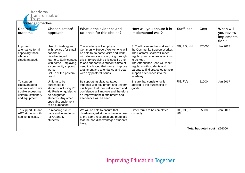

| ii.<br>Other approaches                                                                                       |                                                                                                                                                                                                       |                                                                                                                                                                                                                                                                                                                                           |                                                                                                                                                                                                                                                                                                       |                   |                            |                                                |
|---------------------------------------------------------------------------------------------------------------|-------------------------------------------------------------------------------------------------------------------------------------------------------------------------------------------------------|-------------------------------------------------------------------------------------------------------------------------------------------------------------------------------------------------------------------------------------------------------------------------------------------------------------------------------------------|-------------------------------------------------------------------------------------------------------------------------------------------------------------------------------------------------------------------------------------------------------------------------------------------------------|-------------------|----------------------------|------------------------------------------------|
| <b>Desired</b><br>outcome                                                                                     | Chosen action/<br>approach                                                                                                                                                                            | What is the evidence and<br>rationale for this choice?                                                                                                                                                                                                                                                                                    | How will you ensure it is<br>implemented well?                                                                                                                                                                                                                                                        | <b>Staff lead</b> | <b>Cost</b>                | When will<br>you review<br>implementa<br>tion? |
| Improved<br>attendance for all<br>especially those<br>who are<br>disadvantaged.                               | Use of mini-leagues<br>with rewards for small<br>cohorts of<br>disadvantaged<br>learners. Early contact<br>with home. Employing<br>a community support<br>worker.<br>Set up of the pastoral<br>board. | The academy will employ a<br>Community Support Worker who will<br>be able to do home visits and work<br>with students who are going through<br>crisis. By providing this specific one<br>to one support in a student's time of<br>need it is hoped that we can improve<br>attainment and attendance and deal<br>with any pastoral issues. | SLT will oversee the workload of<br>the Community Support Worker.<br>The Pastoral Board will meet<br>regularly and minutes of actions<br>to be kept.<br>The Attendance Lead will meet<br>regularly with students and<br>parents to find strategies to help<br>support attendance into the<br>academy. | DB, RG, HN        | £20000                     | Jan 2017                                       |
| To support<br>disadvantaged<br>students who have<br>trouble accessing<br>uniform, stationery<br>and equipment | Uniform to be<br>purchased for<br>students including PE<br>kit. Revision guides to<br>be bought for<br>students. Any other<br>specialist equipment<br>to be purchased.                                | By supporting disadvantaged<br>students with equipment and uniform<br>it is hoped that their self-esteem and<br>confidence will improve and therefore<br>an improvement in attainment and<br>attendance will be seen.                                                                                                                     | Ensure that consistency is<br>applied to the purchasing of<br>goods.                                                                                                                                                                                                                                  | RG, FL's          | £1000                      | Jan 2017                                       |
| To support DT and<br><b>ART</b> students with<br>additional costs.                                            | Purchasing sketch<br>pads and ingredients<br>for Art and DT<br>students.                                                                                                                              | We will be able to ensure that<br>disadvantaged students have access<br>to the same resources and materials<br>that the non-disadvantaged students<br>have,                                                                                                                                                                               | Order forms to be completed<br>correctly.                                                                                                                                                                                                                                                             | RG, GE, PS,<br>HN | £5000                      | Jan 2017                                       |
|                                                                                                               |                                                                                                                                                                                                       |                                                                                                                                                                                                                                                                                                                                           |                                                                                                                                                                                                                                                                                                       |                   | <b>Total budgeted cost</b> | £26000                                         |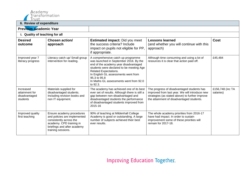

#### **6. Review of expenditure**

| <b>0. REVIEW OF EXPERIGILATE</b>                         |                                                                                                                                                                       |                                                                                                                                                                                                                                                                                                                |                                                                                                                                                                                              |                               |
|----------------------------------------------------------|-----------------------------------------------------------------------------------------------------------------------------------------------------------------------|----------------------------------------------------------------------------------------------------------------------------------------------------------------------------------------------------------------------------------------------------------------------------------------------------------------|----------------------------------------------------------------------------------------------------------------------------------------------------------------------------------------------|-------------------------------|
| <b>Previous Academic Year</b>                            |                                                                                                                                                                       |                                                                                                                                                                                                                                                                                                                |                                                                                                                                                                                              |                               |
| i. Quality of teaching for all                           |                                                                                                                                                                       |                                                                                                                                                                                                                                                                                                                |                                                                                                                                                                                              |                               |
| <b>Desired</b><br>outcome                                | <b>Chosen action/</b><br>approach                                                                                                                                     | <b>Estimated impact: Did you meet</b><br>the success criteria? Include<br>impact on pupils not eligible for PP,<br>if appropriate.                                                                                                                                                                             | <b>Lessons learned</b><br>(and whether you will continue with this<br>approach)                                                                                                              | Cost                          |
| Improved year 7<br>literacy progress                     | Literacy catch up/ Small group<br>intervention for reading.                                                                                                           | A comprehensive catch up programme<br>was launched in September 2016. By the<br>end of the academy year disadvantaged<br>students were declared to be meeting Age<br><b>Related Expectations.</b><br>In English GL assessments went from<br>95.3 to 95.8<br>In Maths GL assessments went from 92.0<br>to 92.3. | Although time consuming and using a lot of<br>resources it is clear that action paid off.                                                                                                    | £45,484                       |
| Increased<br>attainment for<br>disadvantaged<br>students | Materials supplied for<br>disadvantaged students.<br>Including revision books and<br>non IT equipment.                                                                | The academy has achieved one of its best<br>ever set of results. Although there is still a<br>gap between non-disadvantaged and<br>disadvantaged students the performance<br>of disadvantaged students improved from<br>2015-16                                                                                | The progress of disadvantaged students has<br>improved from last year. We will introduce new<br>strategies (as stated above) to further improve<br>the attainment of disadvantaged students. | £156,748 (inc TA<br>salaries) |
| Improved quality<br>first teaching                       | Ensure academy procedures<br>and policies are implemented<br>consistently across the<br>academy. CPD training in<br>briefings and after academy<br>training sessions. | 90% of teaching at Mildenhall College<br>Academy is good or outstanding. A large<br>number of subjects achieved their best<br>ever results.                                                                                                                                                                    | The whole academy priorities from 2016-17<br>have had impact. In order to sustain<br>improvement some of these priorities will<br>remain for 2017-18.                                        |                               |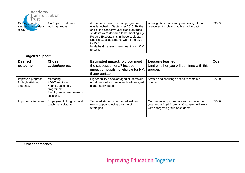| Academy<br>Transformation<br>Trust                   |                                                                                                              |                                                                                                                                                                                                                                                                                                                           |                                                                                                                                 |             |
|------------------------------------------------------|--------------------------------------------------------------------------------------------------------------|---------------------------------------------------------------------------------------------------------------------------------------------------------------------------------------------------------------------------------------------------------------------------------------------------------------------------|---------------------------------------------------------------------------------------------------------------------------------|-------------|
| Getting year 7<br>students 'secondary<br>ready'      | 1:4 English and maths<br>working groups.                                                                     | A comprehensive catch up programme<br>was launched in September 2016. By the<br>end of the academy year disadvantaged<br>students were declared to be meeting Age<br>Related Expectations in these subjects. In<br>English GL assessments went from 95.3<br>to 95.8<br>In Maths GL assessments went from 92.0<br>to 92.3. | Although time consuming and using a lot of<br>resources it is clear that this had impact.                                       | £9889       |
| ii. Targeted support                                 |                                                                                                              |                                                                                                                                                                                                                                                                                                                           |                                                                                                                                 |             |
| <b>Desired</b><br>outcome                            | <b>Chosen</b><br>action/approach                                                                             | <b>Estimated impact:</b> Did you meet<br>the success criteria? Include<br>impact on pupils not eligible for PP,<br>if appropriate.                                                                                                                                                                                        | <b>Lessons learned</b><br>(and whether you will continue with this<br>approach)                                                 | <b>Cost</b> |
| Improved progress<br>for high attaining<br>students. | Mentoring.<br>AG&T mentoring.<br>Year 11 assembly<br>programme.<br>Faculty leader lead revision<br>sessions. | Higher ability disadvantaged students did<br>not do as well as their non-disadvantaged<br>higher ability peers.                                                                                                                                                                                                           | Stretch and challenge needs to remain a<br>priority.                                                                            | £2200       |
| Improved attainment                                  | Employment of higher level<br>teaching assistants                                                            | Targeted students performed well and<br>were supported using a range of<br>strategies.                                                                                                                                                                                                                                    | Our mentoring programme will continue this<br>year and a Pupil Premium Champion will work<br>with a targeted group of students. | £5000       |

**iii. Other approaches**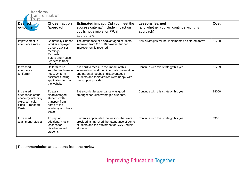| Academy<br>Transformation<br>Trust                                                                     |                                                                                                                                         |                                                                                                                                                                                                          |                                                                                 |             |  |
|--------------------------------------------------------------------------------------------------------|-----------------------------------------------------------------------------------------------------------------------------------------|----------------------------------------------------------------------------------------------------------------------------------------------------------------------------------------------------------|---------------------------------------------------------------------------------|-------------|--|
| <b>Desired</b><br>outcome                                                                              | <b>Chosen action</b><br>/approach                                                                                                       | <b>Estimated impact:</b> Did you meet the<br>success criteria? Include impact on<br>pupils not eligible for PP, if<br>appropriate.                                                                       | <b>Lessons learned</b><br>(and whether you will continue with this<br>approach) | <b>Cost</b> |  |
| Improvement in<br>attendance rates                                                                     | <b>Community Support</b><br>Worker employed.<br>Careers advisor<br>meetings.<br>Rewards.<br><b>Tutors and House</b><br>Leaders to track | The attendance of disadvantaged students<br>improved from 2015-16 however further<br>improvement is required.                                                                                            | New strategies will be implemented as stated above.                             | £12000      |  |
| Increased<br>attendance<br>(uniform)                                                                   | Uniform to be<br>supplied to those in<br>need. Uniform<br>assistant funding<br>application form on<br>the website.                      | It is hard to measure the impact of this<br>intervention but during informal conversation<br>and parental feedback disadvantaged<br>students and their families were happy with<br>the support provided. | Continue with this strategy this year.                                          | £1209       |  |
| Increased<br>attendance at the<br>academy including<br>extra-curricular<br>clubs. (Transport<br>Costs) | To assist<br>disadvantaged<br>students with<br>transport from<br>home to the<br>academy and back<br>again.                              | Extra-curricular attendance was good<br>amongst non-disadvantaged students.                                                                                                                              | Continue with this strategy this year.                                          | £4000       |  |
| Increased<br>attainment (Music)                                                                        | To pay for<br>additional music<br>lessons for<br>disadvantaged<br>students.                                                             | Students appreciated the lessons that were<br>provided. It improved the attendance of some<br>students and the attainment of GCSE music<br>students.                                                     | Continue with this strategy this year.                                          | £300        |  |

**Recommendation and actions from the review**